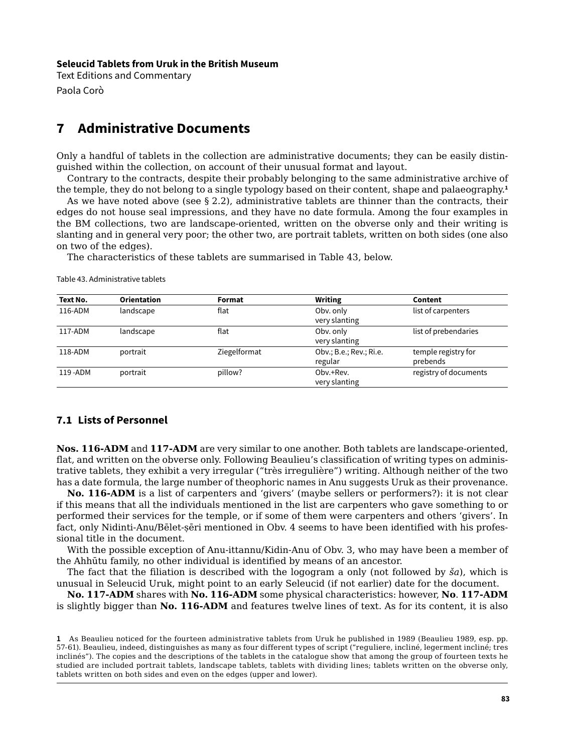## **Seleucid Tablets from Uruk in the British Museum**

Text Editions and Commentary Paola Corò

## **7 Administrative Documents**

Only a handful of tablets in the collection are administrative documents; they can be easily distinguished within the collection, on account of their unusual format and layout.

Contrary to the contracts, despite their probably belonging to the same administrative archive of the temple, they do not belong to a single typology based on their content, shape and palaeography.**<sup>1</sup>**

As we have noted above (see  $\S 2.2$ ), administrative tablets are thinner than the contracts, their edges do not house seal impressions, and they have no date formula. Among the four examples in the BM collections, two are landscape-oriented, written on the obverse only and their writing is slanting and in general very poor; the other two, are portrait tablets, written on both sides (one also on two of the edges).

The characteristics of these tablets are summarised in Table 43, below.

| Text No.  | <b>Orientation</b> | Format       | <b>Writing</b>                     | Content                         |
|-----------|--------------------|--------------|------------------------------------|---------------------------------|
| 116-ADM   | landscape          | flat         | Obv. only<br>very slanting         | list of carpenters              |
| 117-ADM   | landscape          | flat         | Obv. only<br>very slanting         | list of prebendaries            |
| 118-ADM   | portrait           | Ziegelformat | Obv.; B.e.; Rev.; Ri.e.<br>regular | temple registry for<br>prebends |
| 119 - ADM | portrait           | pillow?      | Obv.+Rev.<br>very slanting         | registry of documents           |

Table 43. Administrative tablets

## **7.1 Lists of Personnel**

**Nos. 116-ADM** and **117-ADM** are very similar to one another. Both tablets are landscape-oriented, flat, and written on the obverse only. Following Beaulieu's classification of writing types on administrative tablets, they exhibit a very irregular ("très irregulière") writing. Although neither of the two has a date formula, the large number of theophoric names in Anu suggests Uruk as their provenance.

**No. 116-ADM** is a list of carpenters and 'givers' (maybe sellers or performers?): it is not clear if this means that all the individuals mentioned in the list are carpenters who gave something to or performed their services for the temple, or if some of them were carpenters and others 'givers'. In fact, only Nidinti-Anu/Bēlet-ṣēri mentioned in Obv. 4 seems to have been identified with his professional title in the document.

With the possible exception of Anu-ittannu/Kidin-Anu of Obv. 3, who may have been a member of the Ahhūtu family, no other individual is identified by means of an ancestor.

The fact that the filiation is described with the logogram a only (not followed by *ša*), which is unusual in Seleucid Uruk, might point to an early Seleucid (if not earlier) date for the document.

**No. 117-ADM** shares with **No. 116-ADM** some physical characteristics: however, **No**. **117-ADM** is slightly bigger than **No. 116-ADM** and features twelve lines of text. As for its content, it is also

**<sup>1</sup>** As Beaulieu noticed for the fourteen administrative tablets from Uruk he published in 1989 (Beaulieu 1989, esp. pp. 57-61). Beaulieu, indeed, distinguishes as many as four different types of script ("reguliere, incliné, legerment incliné; tres inclinés"). The copies and the descriptions of the tablets in the catalogue show that among the group of fourteen texts he studied are included portrait tablets, landscape tablets, tablets with dividing lines; tablets written on the obverse only, tablets written on both sides and even on the edges (upper and lower).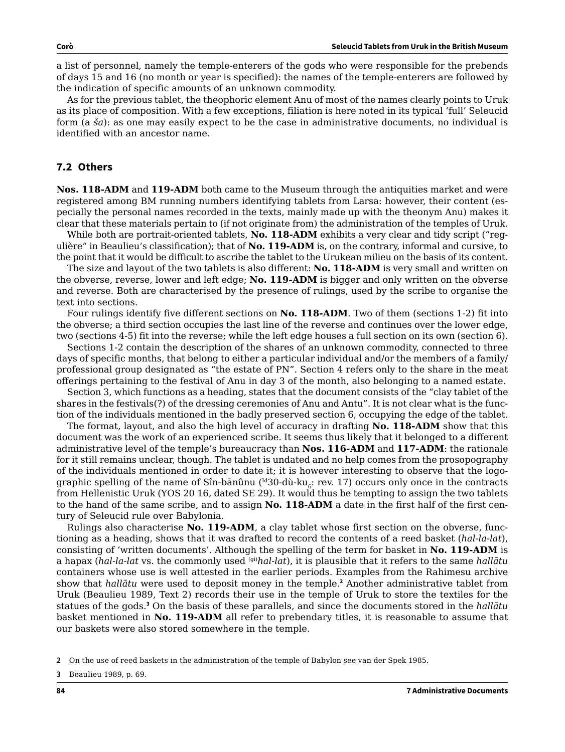a list of personnel, namely the temple-enterers of the gods who were responsible for the prebends of days 15 and 16 (no month or year is specified): the names of the temple-enterers are followed by the indication of specific amounts of an unknown commodity.

As for the previous tablet, the theophoric element Anu of most of the names clearly points to Uruk as its place of composition. With a few exceptions, filiation is here noted in its typical 'full' Seleucid form (a *ša*): as one may easily expect to be the case in administrative documents, no individual is identified with an ancestor name.

## **7.2 Others**

**Nos. 118-ADM** and **119-ADM** both came to the Museum through the antiquities market and were registered among BM running numbers identifying tablets from Larsa: however, their content (especially the personal names recorded in the texts, mainly made up with the theonym Anu) makes it clear that these materials pertain to (if not originate from) the administration of the temples of Uruk.

While both are portrait-oriented tablets, **No. 118-ADM** exhibits a very clear and tidy script ("regulière" in Beaulieu's classification); that of **No. 119-ADM** is, on the contrary, informal and cursive, to the point that it would be difficult to ascribe the tablet to the Urukean milieu on the basis of its content.

The size and layout of the two tablets is also different: **No. 118-ADM** is very small and written on the obverse, reverse, lower and left edge; **No. 119-ADM** is bigger and only written on the obverse and reverse. Both are characterised by the presence of rulings, used by the scribe to organise the text into sections.

Four rulings identify five different sections on **No. 118-ADM**. Two of them (sections 1-2) fit into the obverse; a third section occupies the last line of the reverse and continues over the lower edge, two (sections 4-5) fit into the reverse; while the left edge houses a full section on its own (section 6).

Sections 1-2 contain the description of the shares of an unknown commodity, connected to three days of specific months, that belong to either a particular individual and/or the members of a family/ professional group designated as "the estate of PN". Section 4 refers only to the share in the meat offerings pertaining to the festival of Anu in day 3 of the month, also belonging to a named estate.

Section 3, which functions as a heading, states that the document consists of the "clay tablet of the shares in the festivals(?) of the dressing ceremonies of Anu and Antu". It is not clear what is the function of the individuals mentioned in the badly preserved section 6, occupying the edge of the tablet.

The format, layout, and also the high level of accuracy in drafting **No. 118-ADM** show that this document was the work of an experienced scribe. It seems thus likely that it belonged to a different administrative level of the temple's bureaucracy than **Nos. 116-ADM** and **117-ADM**: the rationale for it still remains unclear, though. The tablet is undated and no help comes from the prosopography of the individuals mentioned in order to date it; it is however interesting to observe that the logographic spelling of the name of Sîn-bānûnu ( $^{Id}$ 30-dù-ku<sub>6</sub>: rev. 17) occurs only once in the contracts from Hellenistic Uruk (YOS 20 16, dated SE 29). It would thus be tempting to assign the two tablets to the hand of the same scribe, and to assign **No. 118-ADM** a date in the first half of the first century of Seleucid rule over Babylonia.

Rulings also characterise **No. 119-ADM**, a clay tablet whose first section on the obverse, functioning as a heading, shows that it was drafted to record the contents of a reed basket (*hal-la-lat*), consisting of 'written documents'. Although the spelling of the term for basket in **No. 119-ADM** is a hapax (*hal-la-lat* vs. the commonly used (gi)*hal-lat*), it is plausible that it refers to the same *hallātu*  containers whose use is well attested in the earlier periods. Examples from the Rahimesu archive show that *hallātu* were used to deposit money in the temple.**<sup>2</sup>** Another administrative tablet from Uruk (Beaulieu 1989, Text 2) records their use in the temple of Uruk to store the textiles for the statues of the gods.**<sup>3</sup>** On the basis of these parallels, and since the documents stored in the *hallātu* basket mentioned in **No. 119-ADM** all refer to prebendary titles, it is reasonable to assume that our baskets were also stored somewhere in the temple.

**<sup>2</sup>** On the use of reed baskets in the administration of the temple of Babylon see van der Spek 1985.

**<sup>3</sup>** Beaulieu 1989, p. 69.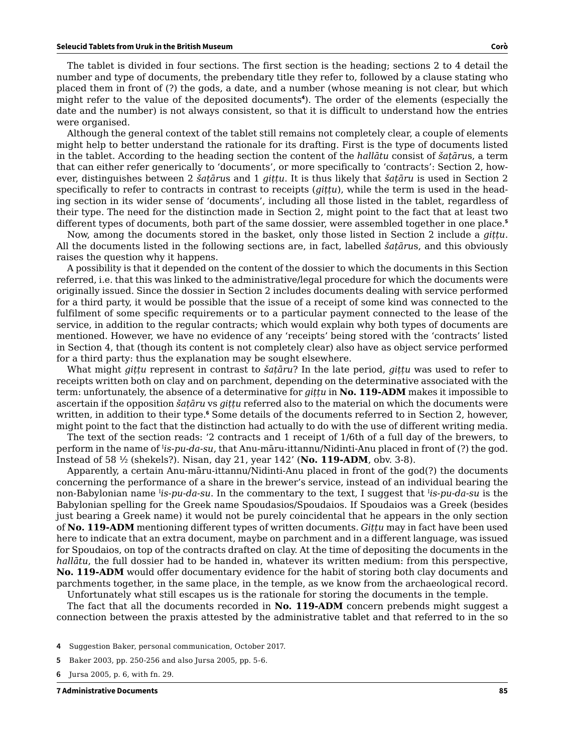The tablet is divided in four sections. The first section is the heading; sections 2 to 4 detail the number and type of documents, the prebendary title they refer to, followed by a clause stating who placed them in front of (?) the gods, a date, and a number (whose meaning is not clear, but which might refer to the value of the deposited documents**<sup>4</sup>** ). The order of the elements (especially the date and the number) is not always consistent, so that it is difficult to understand how the entries were organised.

Although the general context of the tablet still remains not completely clear, a couple of elements might help to better understand the rationale for its drafting. First is the type of documents listed in the tablet. According to the heading section the content of the *hallātu* consist of *šaṭāru*s, a term that can either refer generically to 'documents', or more specifically to 'contracts': Section 2, however, distinguishes between 2 *šaṭāru*s and 1 *giṭṭu*. It is thus likely that *šaṭāru* is used in Section 2 specifically to refer to contracts in contrast to receipts (*giṭṭu*), while the term is used in the heading section in its wider sense of 'documents', including all those listed in the tablet, regardless of their type. The need for the distinction made in Section 2, might point to the fact that at least two different types of documents, both part of the same dossier, were assembled together in one place.**<sup>5</sup>**

Now, among the documents stored in the basket, only those listed in Section 2 include a *giṭṭu*. All the documents listed in the following sections are, in fact, labelled *šaṭāru*s, and this obviously raises the question why it happens.

A possibility is that it depended on the content of the dossier to which the documents in this Section referred, i.e. that this was linked to the administrative/legal procedure for which the documents were originally issued. Since the dossier in Section 2 includes documents dealing with service performed for a third party, it would be possible that the issue of a receipt of some kind was connected to the fulfilment of some specific requirements or to a particular payment connected to the lease of the service, in addition to the regular contracts; which would explain why both types of documents are mentioned. However, we have no evidence of any 'receipts' being stored with the 'contracts' listed in Section 4, that (though its content is not completely clear) also have as object service performed for a third party: thus the explanation may be sought elsewhere.

What might *giṭṭu* represent in contrast to *šaṭāru*? In the late period, *giṭṭu* was used to refer to receipts written both on clay and on parchment, depending on the determinative associated with the term: unfortunately, the absence of a determinative for *giṭṭu* in **No. 119-ADM** makes it impossible to ascertain if the opposition *šaṭāru* vs *giṭṭu* referred also to the material on which the documents were written, in addition to their type.<sup>6</sup> Some details of the documents referred to in Section 2, however, might point to the fact that the distinction had actually to do with the use of different writing media.

The text of the section reads: '2 contracts and 1 receipt of 1/6th of a full day of the brewers, to perform in the name of I *is-pu-da-su*, that Anu-māru-ittannu/Nidinti-Anu placed in front of (?) the god. Instead of 58 ½ (shekels?). Nisan, day 21, year 142' (**No. 119-ADM**, obv. 3-8).

Apparently, a certain Anu-māru-ittannu/Nidinti-Anu placed in front of the god(?) the documents concerning the performance of a share in the brewer's service, instead of an individual bearing the non-Babylonian name I *is-pu-da-su*. In the commentary to the text, I suggest that I *is-pu-da-su* is the Babylonian spelling for the Greek name Spoudasios/Spoudaios. If Spoudaios was a Greek (besides just bearing a Greek name) it would not be purely coincidental that he appears in the only section of **No. 119-ADM** mentioning different types of written documents. *Giṭṭu* may in fact have been used here to indicate that an extra document, maybe on parchment and in a different language, was issued for Spoudaios, on top of the contracts drafted on clay. At the time of depositing the documents in the *hallātu*, the full dossier had to be handed in, whatever its written medium: from this perspective, **No. 119-ADM** would offer documentary evidence for the habit of storing both clay documents and parchments together, in the same place, in the temple, as we know from the archaeological record.

Unfortunately what still escapes us is the rationale for storing the documents in the temple.

The fact that all the documents recorded in **No. 119-ADM** concern prebends might suggest a connection between the praxis attested by the administrative tablet and that referred to in the so

- **4** Suggestion Baker, personal communication, October 2017.
- **5** Baker 2003, pp. 250-256 and also Jursa 2005, pp. 5-6.
- **6** Jursa 2005, p. 6, with fn. 29.